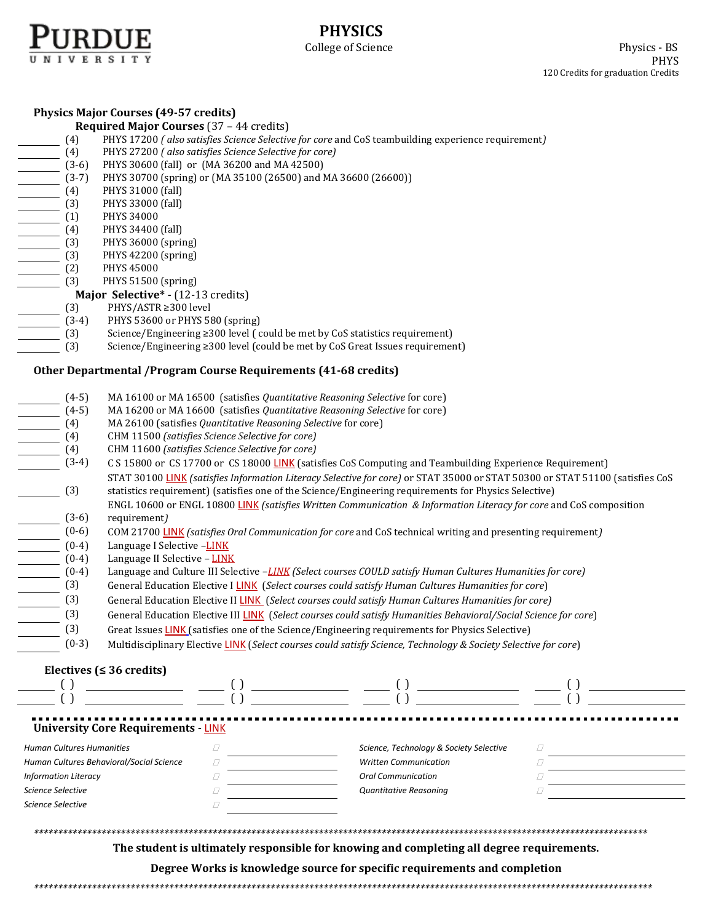

|                                                 | <b>Physics Major Courses (49-57 credits)</b>                                                                                                                                                                                                                                                                                                                                                                                    |                                         |                                                                                                                                                                                                                                      |  |  |  |  |  |  |
|-------------------------------------------------|---------------------------------------------------------------------------------------------------------------------------------------------------------------------------------------------------------------------------------------------------------------------------------------------------------------------------------------------------------------------------------------------------------------------------------|-----------------------------------------|--------------------------------------------------------------------------------------------------------------------------------------------------------------------------------------------------------------------------------------|--|--|--|--|--|--|
| <b>Required Major Courses</b> (37 - 44 credits) |                                                                                                                                                                                                                                                                                                                                                                                                                                 |                                         |                                                                                                                                                                                                                                      |  |  |  |  |  |  |
| (4)                                             | PHYS 17200 (also satisfies Science Selective for core and CoS teambuilding experience requirement)                                                                                                                                                                                                                                                                                                                              |                                         |                                                                                                                                                                                                                                      |  |  |  |  |  |  |
| (4)                                             | PHYS 27200 (also satisfies Science Selective for core)                                                                                                                                                                                                                                                                                                                                                                          |                                         |                                                                                                                                                                                                                                      |  |  |  |  |  |  |
| $(3-6)$                                         | PHYS 30600 (fall) or (MA 36200 and MA 42500)                                                                                                                                                                                                                                                                                                                                                                                    |                                         |                                                                                                                                                                                                                                      |  |  |  |  |  |  |
| $(3-7)$                                         | PHYS 30700 (spring) or (MA 35100 (26500) and MA 36600 (26600))                                                                                                                                                                                                                                                                                                                                                                  |                                         |                                                                                                                                                                                                                                      |  |  |  |  |  |  |
| (4)                                             | PHYS 31000 (fall)                                                                                                                                                                                                                                                                                                                                                                                                               |                                         |                                                                                                                                                                                                                                      |  |  |  |  |  |  |
| (3)                                             | PHYS 33000 (fall)                                                                                                                                                                                                                                                                                                                                                                                                               |                                         |                                                                                                                                                                                                                                      |  |  |  |  |  |  |
| (1)                                             | PHYS 34000                                                                                                                                                                                                                                                                                                                                                                                                                      |                                         |                                                                                                                                                                                                                                      |  |  |  |  |  |  |
| (4)                                             | PHYS 34400 (fall)                                                                                                                                                                                                                                                                                                                                                                                                               |                                         |                                                                                                                                                                                                                                      |  |  |  |  |  |  |
| (3)                                             | PHYS 36000 (spring)                                                                                                                                                                                                                                                                                                                                                                                                             |                                         |                                                                                                                                                                                                                                      |  |  |  |  |  |  |
| (3)                                             | PHYS 42200 (spring)                                                                                                                                                                                                                                                                                                                                                                                                             |                                         |                                                                                                                                                                                                                                      |  |  |  |  |  |  |
| (2)                                             | PHYS 45000                                                                                                                                                                                                                                                                                                                                                                                                                      |                                         |                                                                                                                                                                                                                                      |  |  |  |  |  |  |
| (3)                                             | PHYS 51500 (spring)                                                                                                                                                                                                                                                                                                                                                                                                             |                                         |                                                                                                                                                                                                                                      |  |  |  |  |  |  |
|                                                 | Major Selective* - (12-13 credits)                                                                                                                                                                                                                                                                                                                                                                                              |                                         |                                                                                                                                                                                                                                      |  |  |  |  |  |  |
| (3)                                             | PHYS/ASTR ≥300 level                                                                                                                                                                                                                                                                                                                                                                                                            |                                         |                                                                                                                                                                                                                                      |  |  |  |  |  |  |
| $(3-4)$                                         | PHYS 53600 or PHYS 580 (spring)                                                                                                                                                                                                                                                                                                                                                                                                 |                                         |                                                                                                                                                                                                                                      |  |  |  |  |  |  |
| (3)                                             | Science/Engineering ≥300 level (could be met by CoS statistics requirement)                                                                                                                                                                                                                                                                                                                                                     |                                         |                                                                                                                                                                                                                                      |  |  |  |  |  |  |
| (3)                                             | Science/Engineering ≥300 level (could be met by CoS Great Issues requirement)                                                                                                                                                                                                                                                                                                                                                   |                                         |                                                                                                                                                                                                                                      |  |  |  |  |  |  |
|                                                 | Other Departmental / Program Course Requirements (41-68 credits)                                                                                                                                                                                                                                                                                                                                                                |                                         |                                                                                                                                                                                                                                      |  |  |  |  |  |  |
| $(4-5)$                                         | MA 16100 or MA 16500 (satisfies Quantitative Reasoning Selective for core)                                                                                                                                                                                                                                                                                                                                                      |                                         |                                                                                                                                                                                                                                      |  |  |  |  |  |  |
| $(4-5)$                                         | MA 16200 or MA 16600 (satisfies Quantitative Reasoning Selective for core)                                                                                                                                                                                                                                                                                                                                                      |                                         |                                                                                                                                                                                                                                      |  |  |  |  |  |  |
| (4)                                             | MA 26100 (satisfies Quantitative Reasoning Selective for core)                                                                                                                                                                                                                                                                                                                                                                  |                                         |                                                                                                                                                                                                                                      |  |  |  |  |  |  |
| (4)                                             | CHM 11500 (satisfies Science Selective for core)                                                                                                                                                                                                                                                                                                                                                                                |                                         |                                                                                                                                                                                                                                      |  |  |  |  |  |  |
| (4)                                             | CHM 11600 (satisfies Science Selective for core)                                                                                                                                                                                                                                                                                                                                                                                |                                         |                                                                                                                                                                                                                                      |  |  |  |  |  |  |
| $(3-4)$                                         | C S 15800 or CS 17700 or CS 18000 LINK (satisfies CoS Computing and Teambuilding Experience Requirement)                                                                                                                                                                                                                                                                                                                        |                                         |                                                                                                                                                                                                                                      |  |  |  |  |  |  |
|                                                 | STAT 30100 LINK (satisfies Information Literacy Selective for core) or STAT 35000 or STAT 50300 or STAT 51100 (satisfies CoS                                                                                                                                                                                                                                                                                                    |                                         |                                                                                                                                                                                                                                      |  |  |  |  |  |  |
|                                                 | (3)<br>statistics requirement) (satisfies one of the Science/Engineering requirements for Physics Selective)                                                                                                                                                                                                                                                                                                                    |                                         |                                                                                                                                                                                                                                      |  |  |  |  |  |  |
|                                                 | ENGL 10600 or ENGL 10800 LINK (satisfies Written Communication & Information Literacy for core and CoS composition                                                                                                                                                                                                                                                                                                              |                                         |                                                                                                                                                                                                                                      |  |  |  |  |  |  |
|                                                 | requirement)                                                                                                                                                                                                                                                                                                                                                                                                                    |                                         |                                                                                                                                                                                                                                      |  |  |  |  |  |  |
| $(3-6)$                                         | COM 21700 LINK (satisfies Oral Communication for core and CoS technical writing and presenting requirement)                                                                                                                                                                                                                                                                                                                     |                                         |                                                                                                                                                                                                                                      |  |  |  |  |  |  |
| $(0-6)$                                         |                                                                                                                                                                                                                                                                                                                                                                                                                                 |                                         |                                                                                                                                                                                                                                      |  |  |  |  |  |  |
| $(0-4)$                                         | Language I Selective -LINK                                                                                                                                                                                                                                                                                                                                                                                                      |                                         |                                                                                                                                                                                                                                      |  |  |  |  |  |  |
| $(0-4)$                                         | Language II Selective - LINK                                                                                                                                                                                                                                                                                                                                                                                                    |                                         |                                                                                                                                                                                                                                      |  |  |  |  |  |  |
| $(0-4)$                                         | Language and Culture III Selective -LINK (Select courses COULD satisfy Human Cultures Humanities for core)                                                                                                                                                                                                                                                                                                                      |                                         |                                                                                                                                                                                                                                      |  |  |  |  |  |  |
| (3)                                             | General Education Elective I LINK (Select courses could satisfy Human Cultures Humanities for core)                                                                                                                                                                                                                                                                                                                             |                                         |                                                                                                                                                                                                                                      |  |  |  |  |  |  |
| (3)                                             | General Education Elective II LINK (Select courses could satisfy Human Cultures Humanities for core)                                                                                                                                                                                                                                                                                                                            |                                         |                                                                                                                                                                                                                                      |  |  |  |  |  |  |
| (3)                                             | General Education Elective III LINK (Select courses could satisfy Humanities Behavioral/Social Science for core)                                                                                                                                                                                                                                                                                                                |                                         |                                                                                                                                                                                                                                      |  |  |  |  |  |  |
| (3)                                             | Great Issues LINK (satisfies one of the Science/Engineering requirements for Physics Selective)                                                                                                                                                                                                                                                                                                                                 |                                         |                                                                                                                                                                                                                                      |  |  |  |  |  |  |
| $(0-3)$                                         | Multidisciplinary Elective LINK (Select courses could satisfy Science, Technology & Society Selective for core)                                                                                                                                                                                                                                                                                                                 |                                         |                                                                                                                                                                                                                                      |  |  |  |  |  |  |
|                                                 | Electives ( $\leq$ 36 credits)                                                                                                                                                                                                                                                                                                                                                                                                  |                                         |                                                                                                                                                                                                                                      |  |  |  |  |  |  |
|                                                 |                                                                                                                                                                                                                                                                                                                                                                                                                                 |                                         | <u>and the company of the company of the company of the company of the company of the company of the company of the company of the company of the company of the company of the company of the company of the company of the com</u> |  |  |  |  |  |  |
|                                                 | $\frac{1}{\sqrt{1-\frac{1}{2}}}\frac{1}{\sqrt{1-\frac{1}{2}}}\frac{1}{\sqrt{1-\frac{1}{2}}}\frac{1}{\sqrt{1-\frac{1}{2}}}\frac{1}{\sqrt{1-\frac{1}{2}}}\frac{1}{\sqrt{1-\frac{1}{2}}}\frac{1}{\sqrt{1-\frac{1}{2}}}\frac{1}{\sqrt{1-\frac{1}{2}}}\frac{1}{\sqrt{1-\frac{1}{2}}}\frac{1}{\sqrt{1-\frac{1}{2}}}\frac{1}{\sqrt{1-\frac{1}{2}}}\frac{1}{\sqrt{1-\frac{1}{2}}}\frac{1}{\sqrt{1-\frac{1}{2}}}\frac{1}{\sqrt{1-\frac{$ |                                         | $\left( \ \right)$                                                                                                                                                                                                                   |  |  |  |  |  |  |
|                                                 |                                                                                                                                                                                                                                                                                                                                                                                                                                 |                                         |                                                                                                                                                                                                                                      |  |  |  |  |  |  |
|                                                 | <b>University Core Requirements - LINK</b>                                                                                                                                                                                                                                                                                                                                                                                      |                                         |                                                                                                                                                                                                                                      |  |  |  |  |  |  |
| <b>Human Cultures Humanities</b>                | □                                                                                                                                                                                                                                                                                                                                                                                                                               | Science, Technology & Society Selective | □                                                                                                                                                                                                                                    |  |  |  |  |  |  |
| Human Cultures Behavioral/Social Science<br>0   |                                                                                                                                                                                                                                                                                                                                                                                                                                 | <b>Written Communication</b>            | Ω                                                                                                                                                                                                                                    |  |  |  |  |  |  |
| <b>Information Literacy</b>                     | $\Box$                                                                                                                                                                                                                                                                                                                                                                                                                          | <b>Oral Communication</b>               | Ω                                                                                                                                                                                                                                    |  |  |  |  |  |  |
| Science Selective                               | $\Box$                                                                                                                                                                                                                                                                                                                                                                                                                          | Quantitative Reasoning                  | O                                                                                                                                                                                                                                    |  |  |  |  |  |  |
| Science Selective                               | $\varOmega$                                                                                                                                                                                                                                                                                                                                                                                                                     |                                         |                                                                                                                                                                                                                                      |  |  |  |  |  |  |
|                                                 |                                                                                                                                                                                                                                                                                                                                                                                                                                 |                                         |                                                                                                                                                                                                                                      |  |  |  |  |  |  |

*\*\*\*\*\*\*\*\*\*\*\*\*\*\*\*\*\*\*\*\*\*\*\*\*\*\*\*\*\*\*\*\*\*\*\*\*\*\*\*\*\*\*\*\*\*\*\*\*\*\*\*\*\*\*\*\*\*\*\*\*\*\*\*\*\*\*\*\*\*\*\*\*\*\*\*\*\*\*\*\*\*\*\*\*\*\*\*\*\*\*\*\*\*\*\*\*\*\*\*\*\*\*\*\*\*\*\*\*\*\*\*\*\*\*\*\*\*\*\*\*\*\*\*\*\*\*\**

**The student is ultimately responsible for knowing and completing all degree requirements.** 

**Degree Works is knowledge source for specific requirements and completion**

*\*\*\*\*\*\*\*\*\*\*\*\*\*\*\*\*\*\*\*\*\*\*\*\*\*\*\*\*\*\*\*\*\*\*\*\*\*\*\*\*\*\*\*\*\*\*\*\*\*\*\*\*\*\*\*\*\*\*\*\*\*\*\*\*\*\*\*\*\*\*\*\*\*\*\*\*\*\*\*\*\*\*\*\*\*\*\*\*\*\*\*\*\*\*\*\*\*\*\*\*\*\*\*\*\*\*\*\*\*\*\*\*\*\*\*\*\*\*\*\*\*\*\*\*\*\*\*\**